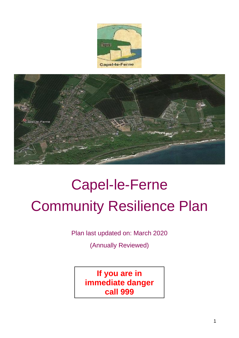



# Capel-le-Ferne Community Resilience Plan

Plan last updated on: March 2020

(Annually Reviewed)

**If you are in immediate danger call 999**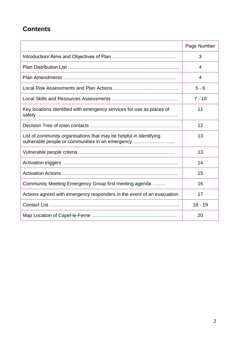### **Contents**

<span id="page-1-0"></span>

|                                                                                                                        | Page Number |
|------------------------------------------------------------------------------------------------------------------------|-------------|
|                                                                                                                        | 3           |
|                                                                                                                        | 4           |
|                                                                                                                        | 4           |
|                                                                                                                        | $5 - 6$     |
|                                                                                                                        | $7 - 10$    |
| Key locations identified with emergency services for use as places of                                                  | 11          |
|                                                                                                                        | 12          |
| List of community organisations that may be helpful in identifying<br>vulnerable people or communities in an emergency | 13          |
|                                                                                                                        | 13          |
|                                                                                                                        | 14          |
|                                                                                                                        | 15          |
| Community Meeting Emergency Group first meeting agenda                                                                 | 16          |
| Actions agreed with emergency responders in the event of an evacuation                                                 | 17          |
|                                                                                                                        | $18 - 19$   |
|                                                                                                                        | 20          |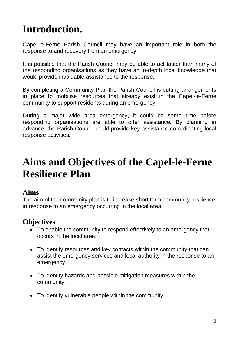# **Introduction.**

Capel-le-Ferne Parish Council may have an important role in both the response to and recovery from an emergency.

It is possible that the Parish Council may be able to act faster than many of the responding organisations as they have an in-depth local knowledge that would provide invaluable assistance to the response.

By completing a Community Plan the Parish Council is putting arrangements in place to mobilise resources that already exist in the Capel-le-Ferne community to support residents during an emergency.

During a major wide area emergency, it could be some time before responding organisations are able to offer assistance. By planning in advance, the Parish Council could provide key assistance co-ordinating local response activities.

### **Aims and Objectives of the Capel-le-Ferne Resilience Plan**

#### **Aims**

The aim of the community plan is to increase short term community resilience in response to an emergency occurring in the local area.

### **Objectives**

- To enable the community to respond effectively to an emergency that occurs in the local area.
- To identify resources and key contacts within the community that can assist the emergency services and local authority in the response to an emergency.
- To identify hazards and possible mitigation measures within the community.
- To identify vulnerable people within the community.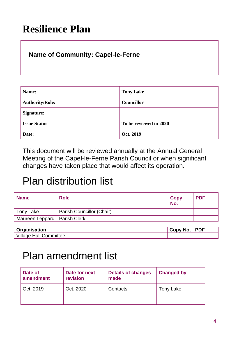## **Resilience Plan**

### **Name of Community: Capel-le-Ferne**

| Name:                  | <b>Tony Lake</b>       |
|------------------------|------------------------|
| <b>Authority/Role:</b> | Councillor             |
| Signature:             |                        |
| <b>Issue Status</b>    | To be reviewed in 2020 |
| Date:                  | Oct. 2019              |

This document will be reviewed annually at the Annual General Meeting of the Capel-le-Ferne Parish Council or when significant changes have taken place that would affect its operation.

### Plan distribution list

| <b>Name</b>                    | <b>Role</b>               | Copy<br>No. | <b>PDF</b> |
|--------------------------------|---------------------------|-------------|------------|
| Tony Lake                      | Parish Councillor (Chair) |             |            |
| Maureen Leppard   Parish Clerk |                           |             |            |
|                                |                           |             |            |

| Organisation              | Copy No. | <b>PDF</b> |
|---------------------------|----------|------------|
| Village<br>Nall Committee |          |            |

### Plan amendment list

| Date of<br>amendment | Date for next<br>revision | <b>Details of changes</b><br>made | <b>Changed by</b> |
|----------------------|---------------------------|-----------------------------------|-------------------|
| Oct. 2019            | Oct. 2020                 | Contacts                          | Tony Lake         |
|                      |                           |                                   |                   |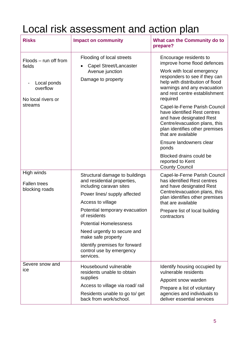## Local risk assessment and action plan

| <b>Risks</b>                                                                                | <b>Impact on community</b>                                                                                                                    | <b>What can the Community do to</b><br>prepare?                                                                                                                                                                                                                                                                                                                                                                                                                                         |
|---------------------------------------------------------------------------------------------|-----------------------------------------------------------------------------------------------------------------------------------------------|-----------------------------------------------------------------------------------------------------------------------------------------------------------------------------------------------------------------------------------------------------------------------------------------------------------------------------------------------------------------------------------------------------------------------------------------------------------------------------------------|
| Floods – run off from<br>fields<br>Local ponds<br>overflow<br>No local rivers or<br>streams | Flooding of local streets<br>Capel Street/Lancaster<br>Avenue junction<br>Damage to property                                                  | Encourage residents to<br>improve home flood defences<br>Work with local emergency<br>responders to see if they can<br>help with distribution of flood<br>warnings and any evacuation<br>and rest centre establishment<br>required<br>Capel-le-Ferne Parish Council<br>have identified Rest centres<br>and have designated Rest<br>Centre/evacuation plans, this<br>plan identifies other premises<br>that are available<br>Ensure landowners clear<br>ponds<br>Blocked drains could be |
|                                                                                             |                                                                                                                                               | reported to Kent<br><b>County Council</b>                                                                                                                                                                                                                                                                                                                                                                                                                                               |
| High winds<br><b>Fallen trees</b><br>blocking roads                                         | Structural damage to buildings<br>and residential properties,<br>including caravan sites<br>Power lines/ supply affected<br>Access to village | Capel-le-Ferne Parish Council<br>has identified Rest centres<br>and have designated Rest<br>Centre/evacuation plans, this<br>plan identifies other premises                                                                                                                                                                                                                                                                                                                             |
|                                                                                             | Potential temporary evacuation<br>of residents                                                                                                | that are available<br>Prepare list of local building<br>contractors                                                                                                                                                                                                                                                                                                                                                                                                                     |
|                                                                                             | <b>Potential Homelessness</b>                                                                                                                 |                                                                                                                                                                                                                                                                                                                                                                                                                                                                                         |
|                                                                                             | Need urgently to secure and<br>make safe property                                                                                             |                                                                                                                                                                                                                                                                                                                                                                                                                                                                                         |
|                                                                                             | Identify premises for forward<br>control use by emergency<br>services.                                                                        |                                                                                                                                                                                                                                                                                                                                                                                                                                                                                         |
| Severe snow and<br>ice                                                                      | Housebound vulnerable<br>residents unable to obtain<br>supplies                                                                               | Identify housing occupied by<br>vulnerable residents<br>Appoint snow warden                                                                                                                                                                                                                                                                                                                                                                                                             |
|                                                                                             | Access to village via road/rail                                                                                                               | Prepare a list of voluntary                                                                                                                                                                                                                                                                                                                                                                                                                                                             |
|                                                                                             | Residents unable to go to/ get<br>back from work/school.                                                                                      | agencies and individuals to<br>deliver essential services                                                                                                                                                                                                                                                                                                                                                                                                                               |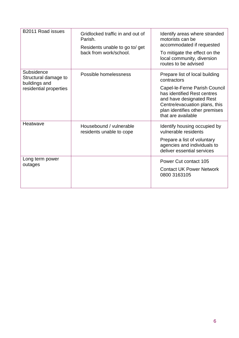| B2011 Road issues                                                             | Gridlocked traffic in and out of<br>Parish.<br>Residents unable to go to/ get<br>back from work/school. | Identify areas where stranded<br>motorists can be<br>accommodated if requested<br>To mitigate the effect on the<br>local community, diversion<br>routes to be advised                                                              |
|-------------------------------------------------------------------------------|---------------------------------------------------------------------------------------------------------|------------------------------------------------------------------------------------------------------------------------------------------------------------------------------------------------------------------------------------|
| Subsidence<br>Structural damage to<br>buildings and<br>residential properties | Possible homelessness                                                                                   | Prepare list of local building<br>contractors<br>Capel-le-Ferne Parish Council<br>has identified Rest centres<br>and have designated Rest<br>Centre/evacuation plans, this<br>plan identifies other premises<br>that are available |
| Heatwave                                                                      | Housebound / vulnerable<br>residents unable to cope                                                     | Identify housing occupied by<br>vulnerable residents<br>Prepare a list of voluntary<br>agencies and individuals to<br>deliver essential services                                                                                   |
| Long term power<br>outages                                                    |                                                                                                         | Power Cut contact 105<br><b>Contact UK Power Network</b><br>0800 3163105                                                                                                                                                           |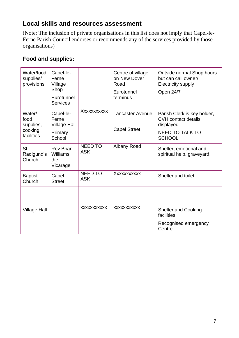#### **Local skills and resources assessment**

(Note: The inclusion of private organisations in this list does not imply that Capel-le-Ferne Parish Council endorses or recommends any of the services provided by those organisations)

#### **Food and supplies:**

| Water/food<br>supplies/<br>provisions                | Capel-le-<br>Ferne<br>Village<br>Shop<br>Eurotunnel<br><b>Services</b> |                              | Centre of village<br>on New Dover<br>Road<br>Eurotunnel<br>terminus | Outside normal Shop hours<br>but can call owner/<br><b>Electricity supply</b><br>Open 24/7                        |
|------------------------------------------------------|------------------------------------------------------------------------|------------------------------|---------------------------------------------------------------------|-------------------------------------------------------------------------------------------------------------------|
| Water/<br>food<br>supplies,<br>cooking<br>facilities | Capel-le-<br>Ferne<br><b>Village Hall</b><br>Primary<br>School         | XXXXXXXXXX                   | <b>Lancaster Avenue</b><br><b>Capel Street</b>                      | Parish Clerk is key holder,<br><b>CVH</b> contact details<br>displayed<br><b>NEED TO TALK TO</b><br><b>SCHOOL</b> |
| <b>St</b><br>Radigund's<br>Church                    | <b>Rev Brian</b><br>Williams,<br>the<br>Vicarage                       | <b>NEED TO</b><br><b>ASK</b> | Albany Road                                                         | Shelter, emotional and<br>spiritual help, graveyard.                                                              |
| <b>Baptist</b><br>Church                             | Capel<br><b>Street</b>                                                 | <b>NEED TO</b><br><b>ASK</b> | XXXXXXXXXX                                                          | Shelter and toilet                                                                                                |
|                                                      |                                                                        |                              |                                                                     |                                                                                                                   |
| <b>Village Hall</b>                                  |                                                                        | <b>XXXXXXXXXXX</b>           | <b>XXXXXXXXXXX</b>                                                  | <b>Shelter and Cooking</b><br>facilities<br>Recognised emergency<br>Centre                                        |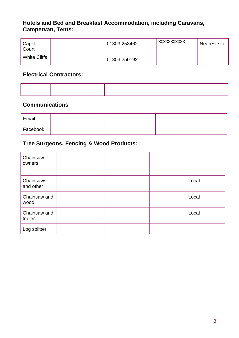#### **Hotels and Bed and Breakfast Accommodation, including Caravans, Campervan, Tents:**

| Capel<br>Court      | 01303 253462 | XXXXXXXXXXX | Nearest site |
|---------------------|--------------|-------------|--------------|
| <b>White Cliffs</b> | 01303 250192 |             |              |

#### **Electrical Contractors:**

#### **Communications**

| Email    |  |  |
|----------|--|--|
| Facebook |  |  |

#### **Tree Surgeons, Fencing & Wood Products:**

| Chainsaw<br>owners      |  |       |
|-------------------------|--|-------|
| Chainsaws<br>and other  |  | Local |
| Chainsaw and<br>wood    |  | Local |
| Chainsaw and<br>trailer |  | Local |
| Log splitter            |  |       |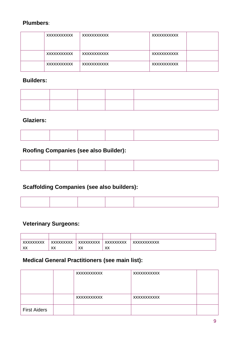#### **Plumbers**:

| XXXXXXXXXXX | XXXXXXXXXXX | XXXXXXXXXXX |
|-------------|-------------|-------------|
| XXXXXXXXXXX | XXXXXXXXXXX | XXXXXXXXXXX |
| XXXXXXXXXXX | XXXXXXXXXXX | XXXXXXXXXXX |

#### **Builders:**

#### **Glaziers:**

#### **Roofing Companies (see also Builder):**

#### **Scaffolding Companies (see also builders):**

#### **Veterinary Surgeons:**

| <b>XXXXXXXXX</b>       | <b>XXXXXXXXX</b> | <b>XXXXXXXXX</b> | XXXXXXXXX      | XXXXXXXXXXX |
|------------------------|------------------|------------------|----------------|-------------|
| <b>YY</b><br>$\Lambda$ | XX               | XX               | <b>YY</b><br>ᄊ |             |

#### **Medical General Practitioners (see main list):**

|                     | XXXXXXXXXXX | XXXXXXXXXX  |  |
|---------------------|-------------|-------------|--|
|                     | XXXXXXXXXXX | XXXXXXXXXXX |  |
| <b>First Aiders</b> |             |             |  |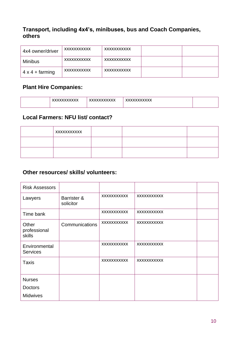#### **Transport, including 4x4's, minibuses, bus and Coach Companies, others**

| 4x4 owner/driver       | XXXXXXXXXXX        | XXXXXXXXXXX |  |
|------------------------|--------------------|-------------|--|
| Minibus                | XXXXXXXXXXX        | XXXXXXXXXXX |  |
| $4 \times 4 +$ farming | <b>XXXXXXXXXXX</b> | XXXXXXXXXXX |  |

#### **Plant Hire Companies:**

| <b>VVVVVVVVVVVV</b> | <b>VVVVVVVVVVVV</b> | <b>VVVVVVVVVV</b> |  |
|---------------------|---------------------|-------------------|--|
| . AN AN AN AN A     | ^^^^^^^^^^^^^       | <b>AAAAAAAAAA</b> |  |

#### **Local Farmers: NFU list/ contact?**

| XXXXXXXXXXX |  |  |
|-------------|--|--|
|             |  |  |
|             |  |  |

#### **Other resources/ skills/ volunteers:**

| <b>Risk Assessors</b>            |                          |                    |                    |  |
|----------------------------------|--------------------------|--------------------|--------------------|--|
| Lawyers                          | Barrister &<br>solicitor | <b>XXXXXXXXXXX</b> | <b>XXXXXXXXXXX</b> |  |
| Time bank                        |                          | XXXXXXXXXX         | <b>XXXXXXXXXXX</b> |  |
| Other<br>professional<br>skills  | Communications           | XXXXXXXXXX         | <b>XXXXXXXXXXX</b> |  |
| Environmental<br><b>Services</b> |                          | XXXXXXXXXXX        | <b>XXXXXXXXXXX</b> |  |
| <b>Taxis</b>                     |                          | <b>XXXXXXXXXXX</b> | <b>XXXXXXXXXXX</b> |  |
| <b>Nurses</b>                    |                          |                    |                    |  |
| <b>Doctors</b>                   |                          |                    |                    |  |
| <b>Midwives</b>                  |                          |                    |                    |  |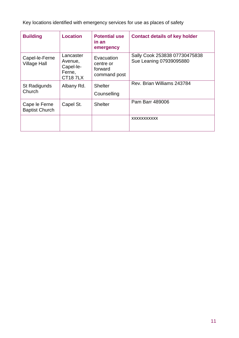Key locations identified with emergency services for use as places of safety

| <b>Building</b>                        | <b>Location</b>                                               | <b>Potential use</b><br>in an<br>emergency         | <b>Contact details of key holder</b>                     |
|----------------------------------------|---------------------------------------------------------------|----------------------------------------------------|----------------------------------------------------------|
| Capel-le-Ferne<br><b>Village Hall</b>  | Lancaster<br>Avenue,<br>Capel-le-<br>Ferne,<br><b>CT187LX</b> | Evacuation<br>centre or<br>forward<br>command post | Sally Cook 253838 07730475838<br>Sue Leaning 07939095880 |
| St Radigunds<br>Church                 | Albany Rd.                                                    | Shelter<br>Counselling                             | Rev. Brian Williams 243784                               |
| Cape le Ferne<br><b>Baptist Church</b> | Capel St.                                                     | <b>Shelter</b>                                     | Pam Barr 489006                                          |
|                                        |                                                               |                                                    | <b>XXXXXXXXXXX</b>                                       |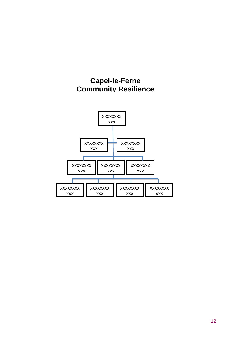

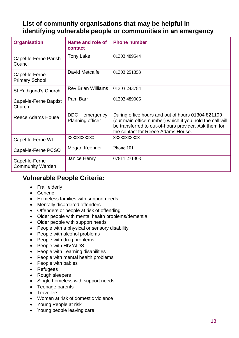#### **List of community organisations that may be helpful in identifying vulnerable people or communities in an emergency**

| <b>Organisation</b>                       | Name and role of<br>contact                        | <b>Phone number</b>                                                                                                                                                                                          |
|-------------------------------------------|----------------------------------------------------|--------------------------------------------------------------------------------------------------------------------------------------------------------------------------------------------------------------|
| Capel-le-Ferne Parish<br>Council          | <b>Tony Lake</b>                                   | 01303 489544                                                                                                                                                                                                 |
| Capel-le-Ferne<br><b>Primary School</b>   | David Metcalfe                                     | 01303 251353                                                                                                                                                                                                 |
| St Radigund's Church                      | <b>Rev Brian Williams</b>                          | 01303 243784                                                                                                                                                                                                 |
| Capel-le-Ferne Baptist<br>Church          | Pam Barr                                           | 01303 489006                                                                                                                                                                                                 |
| Reece Adams House                         | <b>DDC</b><br>emergency<br><b>Planning officer</b> | During office hours and out of hours 01304 821199<br>(our main office number) which if you hold the call will<br>be transferred to out-of-hours provider. Ask them for<br>the contact for Reece Adams House. |
| Capel-le-Ferne WI                         | <b>XXXXXXXXXXX</b>                                 | <b>XXXXXXXXXXX</b>                                                                                                                                                                                           |
| Capel-le-Ferne PCSO                       | Megan Keehner                                      | Phone 101                                                                                                                                                                                                    |
| Capel-le-Ferne<br><b>Community Warden</b> | Janice Henry                                       | 07811 271303                                                                                                                                                                                                 |

#### **Vulnerable People Criteria:**

- Frail elderly
- Generic
- Homeless families with support needs
- Mentally disordered offenders
- Offenders or people at risk of offending
- Older people with mental health problems/dementia
- Older people with support needs
- People with a physical or sensory disability
- People with alcohol problems
- People with drug problems
- People with HIV/AIDS
- People with Learning disabilities
- People with mental health problems
- People with babies
- Refugees
- Rough sleepers
- Single homeless with support needs
- Teenage parents
- Travellers
- Women at risk of domestic violence
- Young People at risk
- Young people leaving care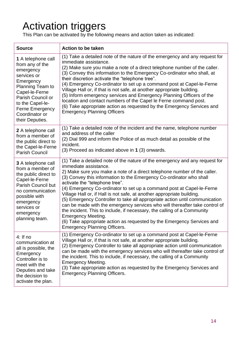# Activation triggers

This Plan can be activated by the following means and action taken as indicated:

| <b>Source</b>                                                                                                                                                                                                                | <b>Action to be taken</b>                                                                                                                                                                                                                                                                                                                                                                                                                                                                                                                                                                                                                                                                                                                                                                                                           |
|------------------------------------------------------------------------------------------------------------------------------------------------------------------------------------------------------------------------------|-------------------------------------------------------------------------------------------------------------------------------------------------------------------------------------------------------------------------------------------------------------------------------------------------------------------------------------------------------------------------------------------------------------------------------------------------------------------------------------------------------------------------------------------------------------------------------------------------------------------------------------------------------------------------------------------------------------------------------------------------------------------------------------------------------------------------------------|
| 1 A telephone call<br>from any of the<br>emergency<br>services or<br>Emergency<br>Planning Team to<br>Capel-le-Ferne<br>Parish Council or<br>to the Capel-le-<br><b>Ferne Emergency</b><br>Coordinator or<br>their Deputies. | (1) Take a detailed note of the nature of the emergency and any request for<br>immediate assistance.<br>(2) Make sure you make a note of a direct telephone number of the caller.<br>(3) Convey this information to the Emergency Co-ordinator who shall, at<br>their discretion activate the "telephone tree".<br>(4) Emergency Co-ordinator to set up a command post at Capel-le-Ferne<br>Village Hall or, if that is not safe, at another appropriate building.<br>(5) Inform emergency services and Emergency Planning Officers of the<br>location and contact numbers of the Capel le Ferne command post.<br>(6) Take appropriate action as requested by the Emergency Services and<br><b>Emergency Planning Officers</b>                                                                                                      |
| 2 A telephone call<br>from a member of<br>the public direct to<br>the Capel-le-Ferne<br><b>Parish Council</b>                                                                                                                | (1) Take a detailed note of the incident and the name, telephone number<br>and address of the caller<br>(2) Dial 999 and inform the Police of as much detail as possible of the<br>incident.<br>(3) Proceed as indicated above in 1 (3) onwards.                                                                                                                                                                                                                                                                                                                                                                                                                                                                                                                                                                                    |
| <b>3</b> A telephone call<br>from a member of<br>the public direct to<br>Capel-le-Ferne<br>Parish Council but<br>no communication<br>possible with<br>emergency<br>services or<br>emergency<br>planning team.                | (1) Take a detailed note of the nature of the emergency and any request for<br>immediate assistance.<br>2) Make sure you make a note of a direct telephone number of the caller.<br>(3) Convey this information to the Emergency Co-ordinator who shall<br>activate the "telephone tree".<br>(4) Emergency Co-ordinator to set up a command post at Capel-le-Ferne<br>Village Hall or, if Hall is not safe, at another appropriate building.<br>(5) Emergency Controller to take all appropriate action until communication<br>can be made with the emergency services who will thereafter take control of<br>the incident. This to include, if necessary, the calling of a Community<br><b>Emergency Meeting.</b><br>(6) Take appropriate action as requested by the Emergency Services and<br><b>Emergency Planning Officers.</b> |
| $4:$ If no<br>communication at<br>all is possible, the<br>Emergency<br>Controller is to<br>meet with the<br>Deputies and take<br>the decision to<br>activate the plan.                                                       | (1) Emergency Co-ordinator to set up a command post at Capel-le-Ferne<br>Village Hall or, if that is not safe, at another appropriate building.<br>(2) Emergency Controller to take all appropriate action until communication<br>can be made with the emergency services who will thereafter take control of<br>the incident. This to include, if necessary, the calling of a Community<br><b>Emergency Meeting.</b><br>(3) Take appropriate action as requested by the Emergency Services and<br><b>Emergency Planning Officers.</b>                                                                                                                                                                                                                                                                                              |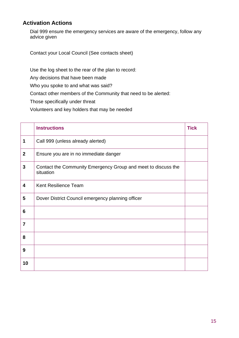#### **Activation Actions**

Dial 999 ensure the emergency services are aware of the emergency, follow any advice given

Contact your Local Council (See contacts sheet)

Use the log sheet to the rear of the plan to record:

Any decisions that have been made

Who you spoke to and what was said?

Contact other members of the Community that need to be alerted:

Those specifically under threat

Volunteers and key holders that may be needed

|                | <b>Instructions</b>                                                        | <b>Tick</b> |
|----------------|----------------------------------------------------------------------------|-------------|
| 1              | Call 999 (unless already alerted)                                          |             |
| $\overline{2}$ | Ensure you are in no immediate danger                                      |             |
| $\mathbf{3}$   | Contact the Community Emergency Group and meet to discuss the<br>situation |             |
| 4              | <b>Kent Resilience Team</b>                                                |             |
| 5              | Dover District Council emergency planning officer                          |             |
| 6              |                                                                            |             |
| $\overline{7}$ |                                                                            |             |
| 8              |                                                                            |             |
| 9              |                                                                            |             |
| 10             |                                                                            |             |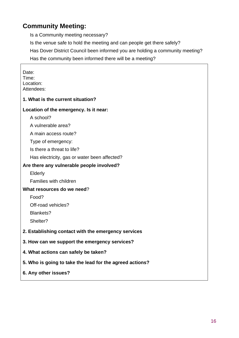#### **Community Meeting:**

Is a Community meeting necessary?

Is the venue safe to hold the meeting and can people get there safely?

Has Dover District Council been informed you are holding a community meeting?

Has the community been informed there will be a meeting?

| Date:<br>Time:<br>Location:<br>Attendees:                |
|----------------------------------------------------------|
| 1. What is the current situation?                        |
| Location of the emergency. Is it near:                   |
| A school?                                                |
| A vulnerable area?                                       |
| A main access route?                                     |
| Type of emergency:                                       |
| Is there a threat to life?                               |
| Has electricity, gas or water been affected?             |
| Are there any vulnerable people involved?                |
| <b>Elderly</b>                                           |
| Families with children                                   |
| What resources do we need?                               |
| Food?                                                    |
| Off-road vehicles?                                       |
| Blankets?                                                |
| Shelter?                                                 |
| 2. Establishing contact with the emergency services      |
| 3. How can we support the emergency services?            |
| 4. What actions can safely be taken?                     |
| 5. Who is going to take the lead for the agreed actions? |
| 6. Any other issues?                                     |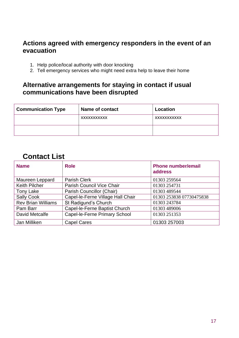#### **Actions agreed with emergency responders in the event of an evacuation**

- 1. Help police/local authority with door knocking
- 2. Tell emergency services who might need extra help to leave their home

#### **Alternative arrangements for staying in contact if usual communications have been disrupted**

| <b>Communication Type</b> | Name of contact | Location    |
|---------------------------|-----------------|-------------|
|                           | XXXXXXXXXXX     | XXXXXXXXXXX |
|                           |                 |             |

#### **Contact List**

| <b>Name</b>               | <b>Role</b>                       | <b>Phone number/email</b><br>address |
|---------------------------|-----------------------------------|--------------------------------------|
| Maureen Leppard           | <b>Parish Clerk</b>               | 01303 259564                         |
| <b>Keith Pilcher</b>      | <b>Parish Council Vice Chair</b>  | 01303 254731                         |
| Tony Lake                 | Parish Councillor (Chair)         | 01303 489544                         |
| <b>Sally Cook</b>         | Capel-le-Ferne Village Hall Chair | 01303 253838 07730475838             |
| <b>Rev Brian Williams</b> | St Radigund's Church              | 01303 243784                         |
| Pam Barr                  | Capel-le-Ferne Baptist Church     | 01303 489006                         |
| David Metcalfe            | Capel-le-Ferne Primary School     | 01303 251353                         |
| Jan Milliken              | <b>Capel Cares</b>                | 01303 257003                         |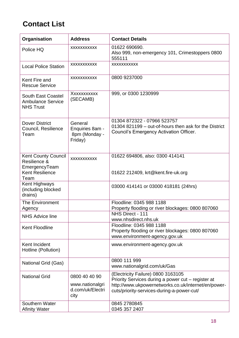### **Contact List**

| Organisation                                                                                  | <b>Address</b>                                               | <b>Contact Details</b>                                                                                                                                                                        |
|-----------------------------------------------------------------------------------------------|--------------------------------------------------------------|-----------------------------------------------------------------------------------------------------------------------------------------------------------------------------------------------|
| Police HQ                                                                                     | XXXXXXXXXX                                                   | 01622 690690.<br>Also 999, non-emergency 101, Crimestoppers 0800<br>555111                                                                                                                    |
| <b>Local Police Station</b>                                                                   | <b>XXXXXXXXXXX</b>                                           | XXXXXXXXXX                                                                                                                                                                                    |
| Kent Fire and<br><b>Rescue Service</b>                                                        | XXXXXXXXXX                                                   | 0800 9237000                                                                                                                                                                                  |
| South East Coastel<br><b>Ambulance Service</b><br><b>NHS Trust</b>                            | XXXXXXXXXX<br>(SECAMB)                                       | 999, or 0300 1230999                                                                                                                                                                          |
| <b>Dover District</b><br>Council, Resilience<br>Team                                          | General<br>Enquiries 8am -<br>8pm (Monday -<br>Friday)       | 01304 872322 - 07966 523757<br>01304 821199 – out-of-hours then ask for the District<br>Council's Emergency Activation Officer.                                                               |
| <b>Kent County Council</b><br>Resilience &<br>EmergencyTeam<br><b>Kent Resilience</b><br>Team | XXXXXXXXXX                                                   | 01622 694806, also: 0300 414141<br>01622 212409, krt@kent.fire-uk.org                                                                                                                         |
| Kent Highways<br>(including blocked<br>drains)                                                |                                                              | 03000 414141 or 03000 418181 (24hrs)                                                                                                                                                          |
| The Environment<br>Agency                                                                     |                                                              | Floodline: 0345 988 1188<br>Property flooding or river blockages: 0800 807060                                                                                                                 |
| <b>NHS Advice line</b>                                                                        |                                                              | NHS Direct - 111<br>www.nhsdirect.nhs.uk                                                                                                                                                      |
| Kent Floodline                                                                                |                                                              | Floodline: 0345 988 1188<br>Property flooding or river blockages: 0800 807060<br>www.environment-agency.gov.uk                                                                                |
| Kent Incident<br>Hotline (Pollution)                                                          |                                                              | www.environment-agency.gov.uk                                                                                                                                                                 |
| National Grid (Gas)                                                                           |                                                              | 0800 111 999<br>www.nationalgrid.com/uk/Gas                                                                                                                                                   |
| <b>National Grid</b>                                                                          | 0800 40 40 90<br>www.nationalgri<br>d.com/uk/Electri<br>city | (Electricity Failure) 0800 3163105<br>Priority Services during a power cut – register at<br>http://www.ukpowernetworks.co.uk/internet/en/power-<br>cuts/priority-services-during-a-power-cut/ |
| Southern Water<br><b>Afinity Water</b>                                                        |                                                              | 0845 2780845<br>0345 357 2407                                                                                                                                                                 |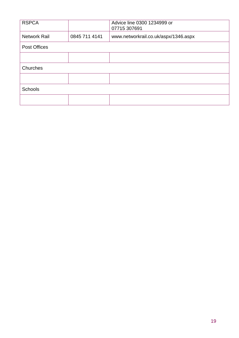| <b>RSPCA</b>        |               | Advice line 0300 1234999 or<br>07715 307691 |
|---------------------|---------------|---------------------------------------------|
| <b>Network Rail</b> | 0845 711 4141 | www.networkrail.co.uk/aspx/1346.aspx        |
| <b>Post Offices</b> |               |                                             |
|                     |               |                                             |
| Churches            |               |                                             |
|                     |               |                                             |
| <b>Schools</b>      |               |                                             |
|                     |               |                                             |